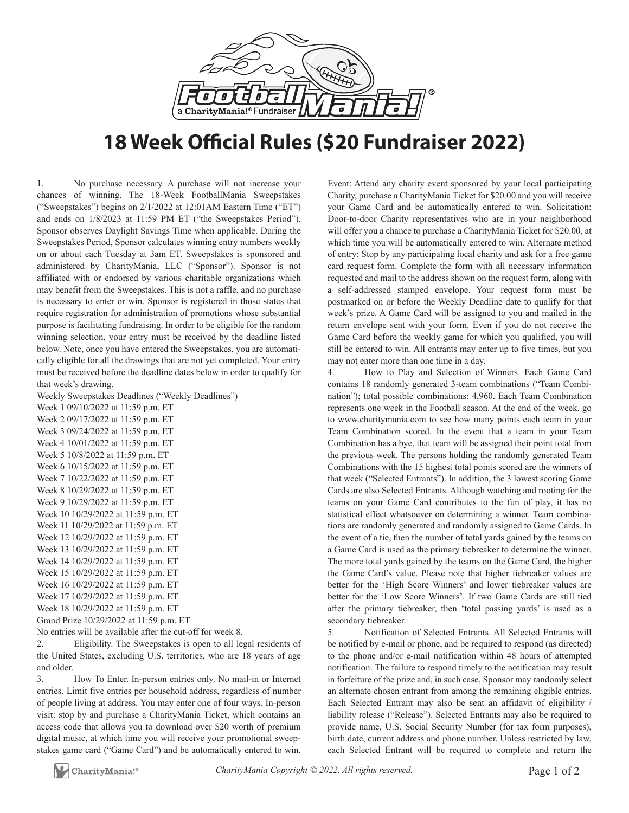

## **18 Week Official Rules (\$20 Fundraiser 2022)**

1. No purchase necessary. A purchase will not increase your chances of winning. The 18-Week FootballMania Sweepstakes ("Sweepstakes") begins on 2/1/2022 at 12:01AM Eastern Time ("ET") and ends on 1/8/2023 at 11:59 PM ET ("the Sweepstakes Period"). Sponsor observes Daylight Savings Time when applicable. During the Sweepstakes Period, Sponsor calculates winning entry numbers weekly on or about each Tuesday at 3am ET. Sweepstakes is sponsored and administered by CharityMania, LLC ("Sponsor"). Sponsor is not affiliated with or endorsed by various charitable organizations which may benefit from the Sweepstakes. This is not a raffle, and no purchase is necessary to enter or win. Sponsor is registered in those states that require registration for administration of promotions whose substantial purpose is facilitating fundraising. In order to be eligible for the random winning selection, your entry must be received by the deadline listed below. Note, once you have entered the Sweepstakes, you are automatically eligible for all the drawings that are not yet completed. Your entry must be received before the deadline dates below in order to qualify for that week's drawing.

Weekly Sweepstakes Deadlines ("Weekly Deadlines")

Week 1 09/10/2022 at 11:59 p.m. ET Week 2 09/17/2022 at 11:59 p.m. ET Week 3 09/24/2022 at 11:59 p.m. ET Week 4 10/01/2022 at 11:59 p.m. ET Week 5 10/8/2022 at 11:59 p.m. ET Week 6 10/15/2022 at 11:59 p.m. ET Week 7 10/22/2022 at 11:59 p.m. ET Week 8 10/29/2022 at 11:59 p.m. ET Week 9 10/29/2022 at 11:59 p.m. ET Week 10 10/29/2022 at 11:59 p.m. ET Week 11 10/29/2022 at 11:59 p.m. ET Week 12 10/29/2022 at 11:59 p.m. ET Week 13 10/29/2022 at 11:59 p.m. ET Week 14 10/29/2022 at 11:59 p.m. ET Week 15 10/29/2022 at 11:59 p.m. ET Week 16 10/29/2022 at 11:59 p.m. ET Week 17 10/29/2022 at 11:59 p.m. ET Week 18 10/29/2022 at 11:59 p.m. ET

Grand Prize 10/29/2022 at 11:59 p.m. ET

No entries will be available after the cut-off for week 8.

2. Eligibility. The Sweepstakes is open to all legal residents of the United States, excluding U.S. territories, who are 18 years of age and older.

3. How To Enter. In-person entries only. No mail-in or Internet entries. Limit five entries per household address, regardless of number of people living at address. You may enter one of four ways. In-person visit: stop by and purchase a CharityMania Ticket, which contains an access code that allows you to download over \$20 worth of premium digital music, at which time you will receive your promotional sweepstakes game card ("Game Card") and be automatically entered to win.

Event: Attend any charity event sponsored by your local participating Charity, purchase a CharityMania Ticket for \$20.00 and you will receive your Game Card and be automatically entered to win. Solicitation: Door-to-door Charity representatives who are in your neighborhood will offer you a chance to purchase a CharityMania Ticket for \$20.00, at which time you will be automatically entered to win. Alternate method of entry: Stop by any participating local charity and ask for a free game card request form. Complete the form with all necessary information requested and mail to the address shown on the request form, along with a self-addressed stamped envelope. Your request form must be postmarked on or before the Weekly Deadline date to qualify for that week's prize. A Game Card will be assigned to you and mailed in the return envelope sent with your form. Even if you do not receive the Game Card before the weekly game for which you qualified, you will still be entered to win. All entrants may enter up to five times, but you may not enter more than one time in a day.

4. How to Play and Selection of Winners. Each Game Card contains 18 randomly generated 3-team combinations ("Team Combination"); total possible combinations: 4,960. Each Team Combination represents one week in the Football season. At the end of the week, go to www.charitymania.com to see how many points each team in your Team Combination scored. In the event that a team in your Team Combination has a bye, that team will be assigned their point total from the previous week. The persons holding the randomly generated Team Combinations with the 15 highest total points scored are the winners of that week ("Selected Entrants"). In addition, the 3 lowest scoring Game Cards are also Selected Entrants. Although watching and rooting for the teams on your Game Card contributes to the fun of play, it has no statistical effect whatsoever on determining a winner. Team combinations are randomly generated and randomly assigned to Game Cards. In the event of a tie, then the number of total yards gained by the teams on a Game Card is used as the primary tiebreaker to determine the winner. The more total yards gained by the teams on the Game Card, the higher the Game Card's value. Please note that higher tiebreaker values are better for the 'High Score Winners' and lower tiebreaker values are better for the 'Low Score Winners'. If two Game Cards are still tied after the primary tiebreaker, then 'total passing yards' is used as a secondary tiebreaker.

5. Notification of Selected Entrants. All Selected Entrants will be notified by e-mail or phone, and be required to respond (as directed) to the phone and/or e-mail notification within 48 hours of attempted notification. The failure to respond timely to the notification may result in forfeiture of the prize and, in such case, Sponsor may randomly select an alternate chosen entrant from among the remaining eligible entries. Each Selected Entrant may also be sent an affidavit of eligibility / liability release ("Release"). Selected Entrants may also be required to provide name, U.S. Social Security Number (for tax form purposes), birth date, current address and phone number. Unless restricted by law, each Selected Entrant will be required to complete and return the